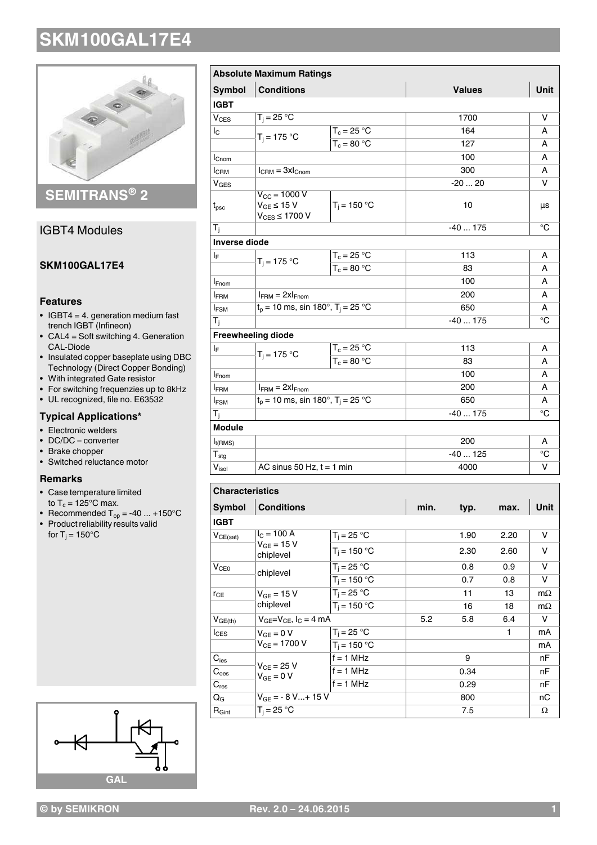

**SEMITRANS® 2**

## IGBT4 Modules

## **SKM100GAL17E4**

### **Features**

- $\cdot$  IGBT4 = 4. generation medium fast trench IGBT (Infineon)
- $\bullet$  CAL4 = Soft switching 4. Generation CAL-Diode
- Insulated copper baseplate using DBC Technology (Direct Copper Bonding)
- With integrated Gate resistor
- For switching frequenzies up to 8kHz
- UL recognized, file no. E63532

## **Typical Applications\***

- Electronic welders
- DC/DC converter
- Brake chopper
- Switched reluctance motor

#### **Remarks**

- Case temperature limited to  $T_c = 125^{\circ}$ C max.
- Recommended  $T_{op} = -40 ... +150°C$
- Product reliability results valid for T $_{\rm j}$  = 150°C



|                     | <b>Absolute Maximum Ratings</b>                                      |                |               |             |
|---------------------|----------------------------------------------------------------------|----------------|---------------|-------------|
| <b>Symbol</b>       | <b>Conditions</b>                                                    |                | <b>Values</b> | Unit        |
| <b>IGBT</b>         |                                                                      |                |               |             |
| V <sub>CES</sub>    | $T_i = 25 °C$                                                        |                | 1700          | v           |
| Ιc                  | $T_i = 175 °C$                                                       | $T_c = 25 °C$  | 164           | A           |
|                     |                                                                      | $T_c = 80 °C$  | 127           | A           |
| $I_{\text{Cnom}}$   |                                                                      |                | 100           | A           |
| I <sub>CRM</sub>    | $I_{\text{CRM}} = 3xI_{\text{Chom}}$                                 |                | 300           | A           |
| $V_{GES}$           |                                                                      |                | $-2020$       | v           |
| $t_{\rm psc}$       | $V_{\text{CC}}$ = 1000 V<br>$V_{GE}$ ≤ 15 V<br>$V_{CES} \leq 1700 V$ | $T_i = 150 °C$ | 10            | μs          |
| $T_{\rm i}$         |                                                                      |                | $-40175$      | $^{\circ}C$ |
| Inverse diode       |                                                                      |                |               |             |
| ΙF                  | $T_i = 175 °C$                                                       | $T_c = 25 °C$  | 113           | A           |
|                     |                                                                      | $T_c = 80 °C$  | 83            | A           |
| <b>I</b> Fnom       |                                                                      |                | 100           | А           |
| <b>IFRM</b>         | $I_{FRM} = 2xI_{Fnom}$                                               |                | 200           | A           |
| $I_{FSM}$           | $t_p = 10$ ms, sin 180°, T <sub>i</sub> = 25 °C                      |                | 650           | А           |
| $T_i$               |                                                                      |                | $-40175$      | $^{\circ}C$ |
|                     | <b>Freewheeling diode</b>                                            |                |               |             |
| $I_F$               | $T_i = 175 °C$                                                       | $T_c = 25 °C$  | 113           | A           |
|                     |                                                                      | $T_c = 80 °C$  | 83            | A           |
| <b>I</b> Fnom       |                                                                      |                | 100           | A           |
| <b>IFRM</b>         | $I_{FRM} = 2xI_{Fnom}$                                               |                | 200           |             |
| $I_{FSM}$           | $t_p = 10$ ms, sin 180°, T <sub>i</sub> = 25 °C                      |                | 650           | А           |
| $T_{\rm i}$         |                                                                      |                | $-40175$      | °C          |
| <b>Module</b>       |                                                                      |                |               |             |
| $I_{t(RMS)}$        |                                                                      |                | 200           | A           |
| ${\sf T}_{\sf stg}$ |                                                                      |                | $-40125$      | °C          |
| $V_{\sf isol}$      | AC sinus 50 Hz, $t = 1$ min                                          |                | 4000          | v           |

| <b>Unaracteristics</b> |                                     |                |      |      |      |           |  |
|------------------------|-------------------------------------|----------------|------|------|------|-----------|--|
| Symbol                 | <b>Conditions</b>                   | min.           | typ. | max. | Unit |           |  |
| <b>IGBT</b>            |                                     |                |      |      |      |           |  |
| $V_{CE(sat)}$          | $I_C = 100 A$                       | $T_i = 25 °C$  |      | 1.90 | 2.20 | v         |  |
|                        | $V_{GF} = 15 V$<br>chiplevel        | $T_i = 150 °C$ |      | 2.30 | 2.60 | v         |  |
| V <sub>CE0</sub>       | chiplevel                           | $T_i = 25 °C$  |      | 0.8  | 0.9  | v         |  |
|                        |                                     | $T_i = 150 °C$ |      | 0.7  | 0.8  | v         |  |
| $r_{CE}$               | $V_{GF}$ = 15 V                     | $T_i = 25 °C$  |      | 11   | 13   | $m\Omega$ |  |
|                        | chiplevel                           | $T_i = 150 °C$ |      | 16   | 18   | $m\Omega$ |  |
| $V_{GE(th)}$           | $V_{GF}=V_{CF}$ , $I_{C}=4$ mA      |                | 5.2  | 5.8  | 6.4  | v         |  |
| $I_{CES}$              | $V_{GF} = 0 V$<br>$V_{CF} = 1700 V$ | $T_i = 25 °C$  |      |      | 1    | mA        |  |
|                        |                                     | $T_i = 150 °C$ |      |      |      | mA        |  |
| $C_{\text{ies}}$       | $V_{CF}$ = 25 V<br>$V_{GF} = 0 V$   | $f = 1$ MHz    |      | 9    |      | nF        |  |
| C <sub>oes</sub>       |                                     | $f = 1$ MHz    |      | 0.34 |      | nF        |  |
| $C_{res}$              |                                     | $f = 1$ MHz    |      | 0.29 |      | nF        |  |
| $Q_{\rm G}$            | $V_{GF} = -8 V+ 15 V$               |                |      | 800  |      | nС        |  |
| $R_{\text{Gint}}$      | $T_i = 25 °C$                       |                |      | 7.5  |      | Ω         |  |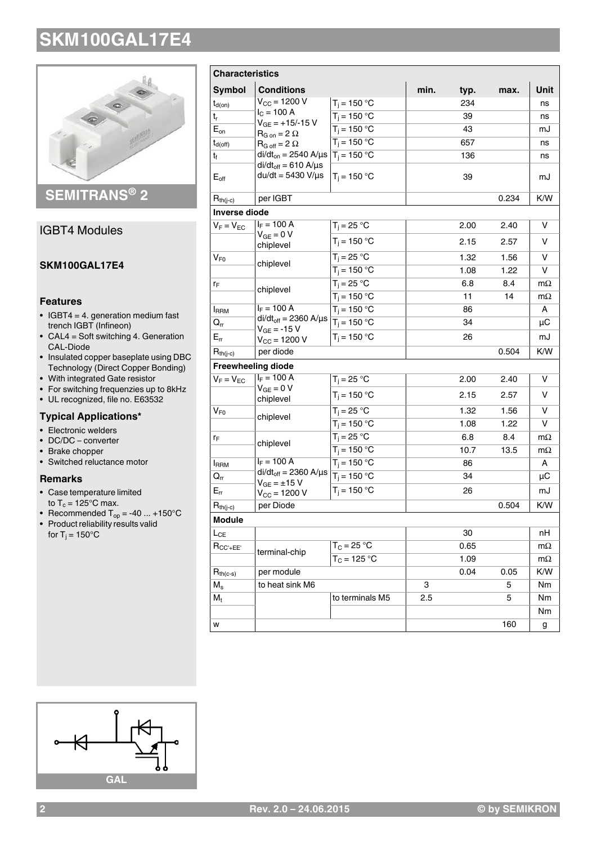

## **SEMITRANS® 2**

## IGBT4 Modules

## **SKM100GAL17E4**

### **Features**

- $\cdot$  IGBT4 = 4. generation medium fast trench IGBT (Infineon)
- $\bullet$  CAL4 = Soft switching 4. Generation CAL-Diode
- Insulated copper baseplate using DBC Technology (Direct Copper Bonding)
- With integrated Gate resistor
- For switching frequenzies up to 8kHz
- UL recognized, file no. E63532

## **Typical Applications\***

- Electronic welders
- DC/DC converter
- Brake chopper
- Switched reluctance motor

#### **Remarks**

- Case temperature limited to  $T_c = 125^{\circ}$ C max.
- Recommended  $T_{op} = -40 ... +150°C$
- Product reliability results valid for T $_{\rm j}$  = 150°C

| <b>Characteristics</b>     |                                                                                                                                                                                                                     |                 |      |       |       |           |
|----------------------------|---------------------------------------------------------------------------------------------------------------------------------------------------------------------------------------------------------------------|-----------------|------|-------|-------|-----------|
| <b>Symbol</b>              | <b>Conditions</b>                                                                                                                                                                                                   |                 | min. | typ.  | max.  | Unit      |
| $t_{d(on)}$                | $V_{\text{CC}} = 1200 V$                                                                                                                                                                                            | $T_i = 150 °C$  |      | 234   |       | ns        |
| t,                         | $I_C = 100 A$<br>$V_{GE} = +15/-15$ V<br>$R_{G \text{ on}} = 2 \Omega$<br>$R_{G \text{ off}} = 2 \Omega$<br>di/dt <sub>on</sub> = 2540 A/µs $T_i$ = 150 °C<br>$di/dt_{off} = 610 A/\mu s$<br>$du/dt = 5430 V/\mu s$ | $T_i = 150 °C$  |      | 39    |       | ns        |
| $E_{\text{on}}$            |                                                                                                                                                                                                                     | $T_i = 150 °C$  |      | 43    |       | mJ        |
| $t_{d(off)}$               |                                                                                                                                                                                                                     | $T_i = 150 °C$  |      | 657   |       | ns        |
| t <sub>f</sub>             |                                                                                                                                                                                                                     |                 |      | 136   |       | ns        |
| $E_{\text{off}}$           |                                                                                                                                                                                                                     | $T_i = 150 °C$  |      | 39    |       | mJ        |
| $R_{th(j-c)}$              | per IGBT                                                                                                                                                                                                            |                 |      | 0.234 | K/W   |           |
| <b>Inverse diode</b>       |                                                                                                                                                                                                                     |                 |      |       |       |           |
| $V_F = V_{EC}$             | $I_F = 100 A$                                                                                                                                                                                                       | $T_i = 25 °C$   |      | 2.00  | 2.40  | v         |
|                            | $V_{GE} = 0 V$<br>chiplevel                                                                                                                                                                                         | $T_i = 150 °C$  |      | 2.15  | 2.57  | v         |
| V <sub>F0</sub>            | chiplevel                                                                                                                                                                                                           | $T_i = 25 °C$   |      | 1.32  | 1.56  | v         |
|                            |                                                                                                                                                                                                                     | $T_i = 150 °C$  |      | 1.08  | 1.22  | v         |
| ľF                         | chiplevel                                                                                                                                                                                                           | $T_i = 25 °C$   |      | 6.8   | 8.4   | $m\Omega$ |
|                            |                                                                                                                                                                                                                     | $T_i = 150 °C$  |      | 11    | 14    | $m\Omega$ |
| <b>I</b> RRM               | $I_F = 100 A$                                                                                                                                                                                                       | $T_i = 150 °C$  |      | 86    |       | A         |
| $\mathsf{Q}_{\mathsf{rr}}$ | $di/dt_{off} = 2360$ A/ $\mu$ s<br>$V_{GE} = -15 V$                                                                                                                                                                 | $T_i = 150 °C$  |      | 34    |       | μC        |
| $E_{rr}$                   | $V_{CC}$ = 1200 V                                                                                                                                                                                                   | $T_i = 150 °C$  |      | 26    |       | mJ        |
| $R_{th(j-c)}$              | per diode                                                                                                                                                                                                           |                 |      |       | 0.504 | K/W       |
|                            | <b>Freewheeling diode</b>                                                                                                                                                                                           |                 |      |       |       |           |
| $V_F = V_{EC}$             | $I_F = 100 A$<br>$V_{GE} = 0 V$                                                                                                                                                                                     | $T_i = 25 °C$   |      | 2.00  | 2.40  | v         |
|                            | chiplevel                                                                                                                                                                                                           | $T_i = 150 °C$  |      | 2.15  | 2.57  | v         |
| $V_{F0}$                   | chiplevel                                                                                                                                                                                                           | $T_i = 25 °C$   |      | 1.32  | 1.56  | v         |
|                            |                                                                                                                                                                                                                     | $T_i = 150 °C$  |      | 1.08  | 1.22  | v         |
| ľF                         | chiplevel                                                                                                                                                                                                           | $T_i = 25 °C$   |      | 6.8   | 8.4   | $m\Omega$ |
|                            |                                                                                                                                                                                                                     | $T_i = 150 °C$  |      | 10.7  | 13.5  | $m\Omega$ |
| <b>I</b> RRM               | $I_F = 100 A$                                                                                                                                                                                                       | $T_i = 150 °C$  |      | 86    |       | A         |
| $\mathsf{Q}_{\mathsf{rr}}$ | $di/dt_{off} = 2360$ A/ $\mu$ s<br>$V_{GE} = \pm 15 V$                                                                                                                                                              | $T_i = 150 °C$  |      | 34    |       | $\mu$ C   |
| $E_{rr}$                   | $V_{CC} = 1200 V$                                                                                                                                                                                                   | $T_i = 150 °C$  |      | 26    |       | mJ        |
| $R_{th(j-c)}$              | per Diode                                                                                                                                                                                                           |                 |      |       | 0.504 | K/W       |
| Module                     |                                                                                                                                                                                                                     |                 |      |       |       |           |
| $L_{CE}$                   |                                                                                                                                                                                                                     |                 |      | 30    |       | nH        |
| $R_{CC'+EE'}$              | terminal-chip                                                                                                                                                                                                       | $T_C = 25 °C$   |      | 0.65  |       | $m\Omega$ |
|                            |                                                                                                                                                                                                                     | $T_C = 125 °C$  |      | 1.09  |       | $m\Omega$ |
| $R_{th(c-s)}$              | per module                                                                                                                                                                                                          |                 |      | 0.04  | 0.05  | K/W       |
| $M_{\rm s}$                | to heat sink M6                                                                                                                                                                                                     |                 | 3    |       | 5     | Nm        |
| $M_t$                      |                                                                                                                                                                                                                     | to terminals M5 | 2.5  |       | 5     | Nm        |
|                            |                                                                                                                                                                                                                     |                 |      |       |       | Nm        |
| w                          |                                                                                                                                                                                                                     |                 |      |       | 160   | g         |

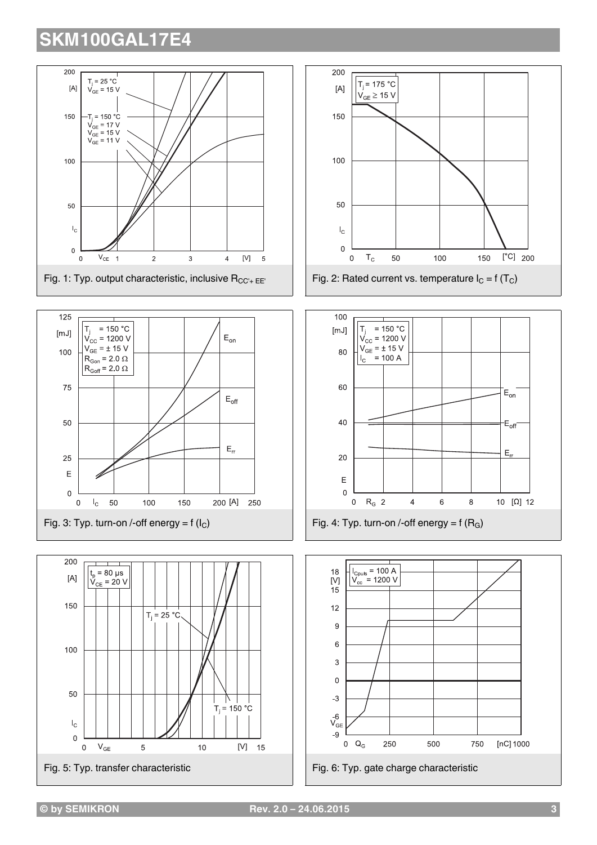









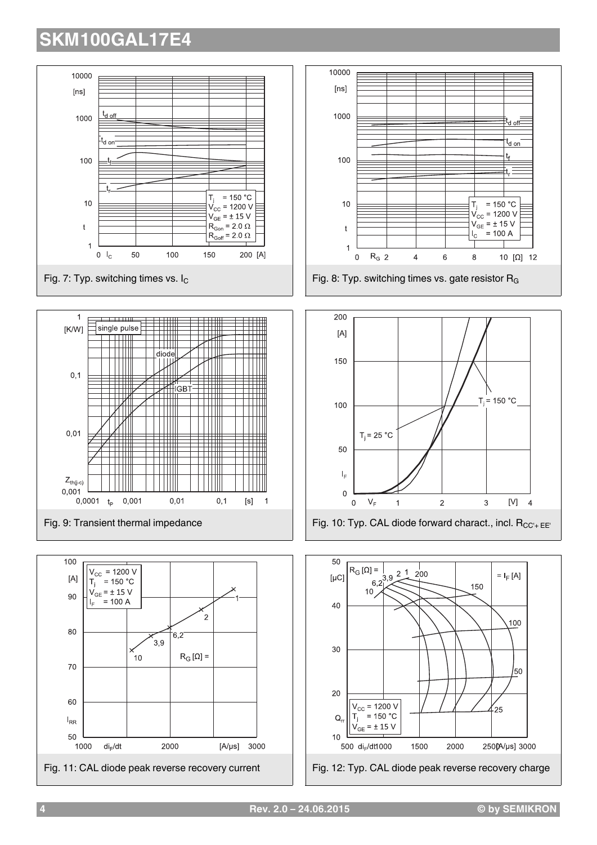

d off-

t<sub>d on</sub>

t. F

 $= 150 °C$ 

 $= 100 A$ 

10 [ $\Omega$ ] 12

 $[V]$ 

 $= I_F[A]$ 

100

50

 $25$ 

 $\overline{4}$ 

**4 Rev. 2.0 – 24.06.2015 © by SEMIKRON**